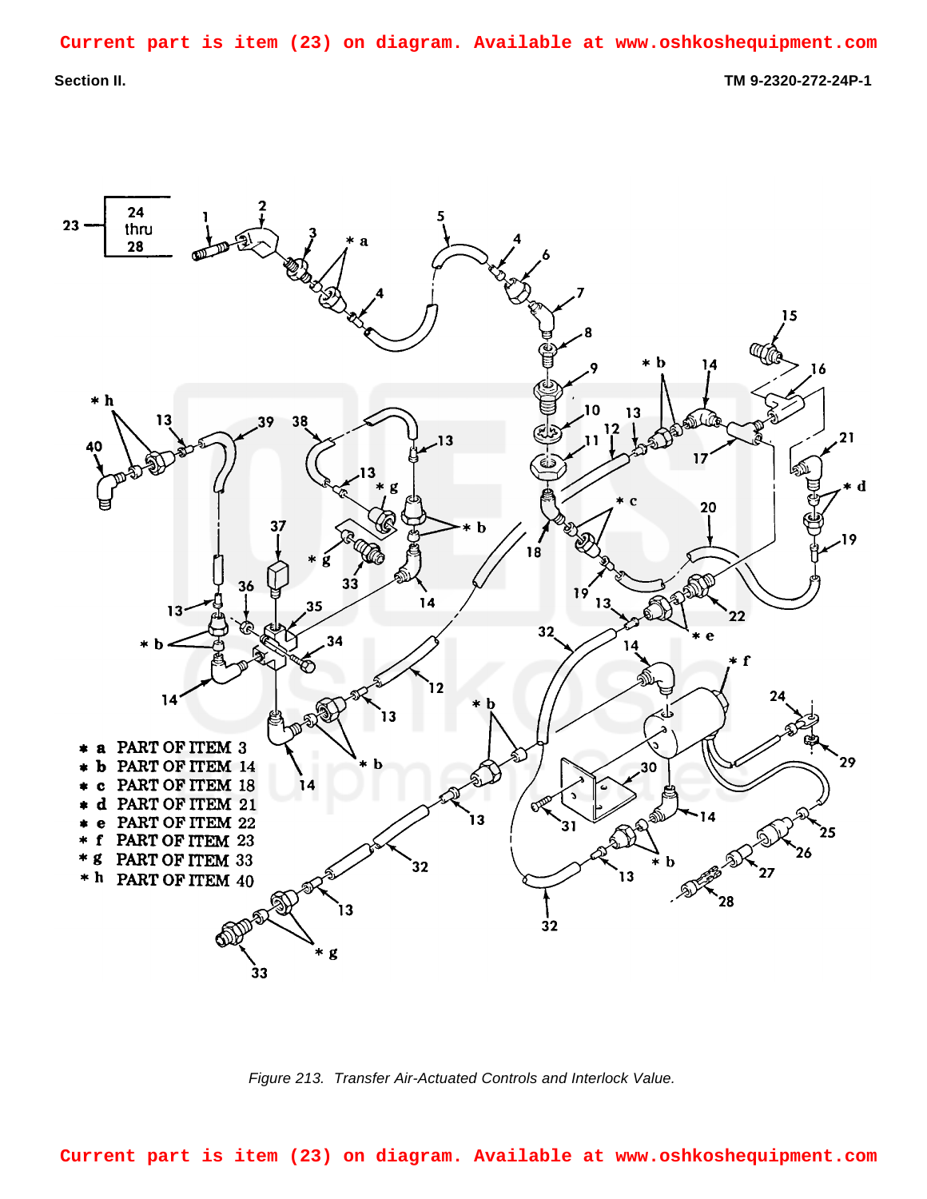**Section II. TM 9-2320-272-24P-1**



<span id="page-0-0"></span>*Figure 213. Transfer Air-Actuated Controls and Interlock Value.*

**Current part is item (23) on diagram. Available at www.oshkoshequipment.com**